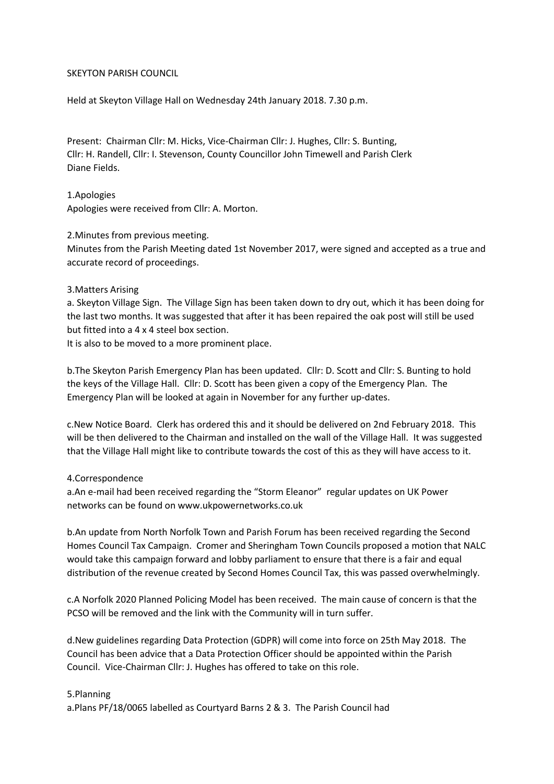#### SKEYTON PARISH COUNCIL

Held at Skeyton Village Hall on Wednesday 24th January 2018. 7.30 p.m.

Present: Chairman Cllr: M. Hicks, Vice-Chairman Cllr: J. Hughes, Cllr: S. Bunting, Cllr: H. Randell, Cllr: I. Stevenson, County Councillor John Timewell and Parish Clerk Diane Fields.

1.Apologies Apologies were received from Cllr: A. Morton.

#### 2.Minutes from previous meeting.

Minutes from the Parish Meeting dated 1st November 2017, were signed and accepted as a true and accurate record of proceedings.

#### 3.Matters Arising

a. Skeyton Village Sign. The Village Sign has been taken down to dry out, which it has been doing for the last two months. It was suggested that after it has been repaired the oak post will still be used but fitted into a 4 x 4 steel box section.

It is also to be moved to a more prominent place.

b.The Skeyton Parish Emergency Plan has been updated. Cllr: D. Scott and Cllr: S. Bunting to hold the keys of the Village Hall. Cllr: D. Scott has been given a copy of the Emergency Plan. The Emergency Plan will be looked at again in November for any further up-dates.

c.New Notice Board. Clerk has ordered this and it should be delivered on 2nd February 2018. This will be then delivered to the Chairman and installed on the wall of the Village Hall. It was suggested that the Village Hall might like to contribute towards the cost of this as they will have access to it.

## 4.Correspondence

a.An e-mail had been received regarding the "Storm Eleanor" regular updates on UK Power networks can be found on www.ukpowernetworks.co.uk

b.An update from North Norfolk Town and Parish Forum has been received regarding the Second Homes Council Tax Campaign. Cromer and Sheringham Town Councils proposed a motion that NALC would take this campaign forward and lobby parliament to ensure that there is a fair and equal distribution of the revenue created by Second Homes Council Tax, this was passed overwhelmingly.

c.A Norfolk 2020 Planned Policing Model has been received. The main cause of concern is that the PCSO will be removed and the link with the Community will in turn suffer.

d.New guidelines regarding Data Protection (GDPR) will come into force on 25th May 2018. The Council has been advice that a Data Protection Officer should be appointed within the Parish Council. Vice-Chairman Cllr: J. Hughes has offered to take on this role.

## 5.Planning

a.Plans PF/18/0065 labelled as Courtyard Barns 2 & 3. The Parish Council had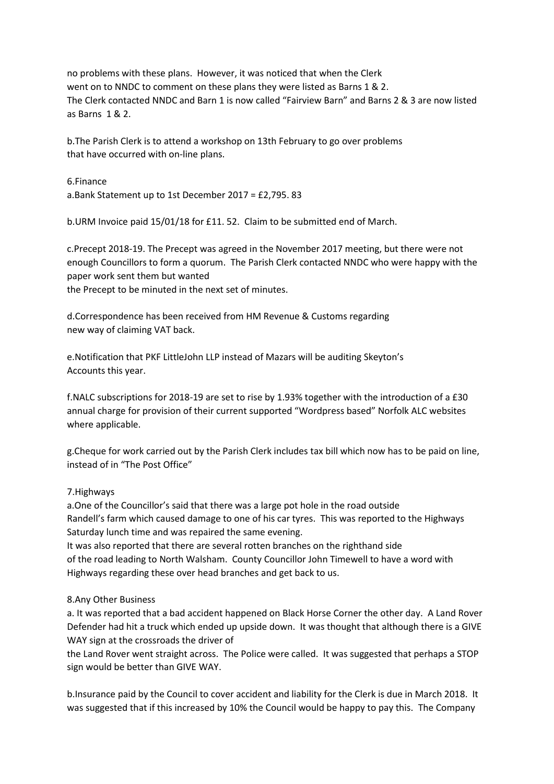no problems with these plans. However, it was noticed that when the Clerk went on to NNDC to comment on these plans they were listed as Barns 1 & 2. The Clerk contacted NNDC and Barn 1 is now called "Fairview Barn" and Barns 2 & 3 are now listed as Barns 1 & 2.

b.The Parish Clerk is to attend a workshop on 13th February to go over problems that have occurred with on-line plans.

6.Finance a.Bank Statement up to 1st December 2017 = £2,795. 83

b.URM Invoice paid 15/01/18 for £11. 52. Claim to be submitted end of March.

c.Precept 2018-19. The Precept was agreed in the November 2017 meeting, but there were not enough Councillors to form a quorum. The Parish Clerk contacted NNDC who were happy with the paper work sent them but wanted

the Precept to be minuted in the next set of minutes.

d.Correspondence has been received from HM Revenue & Customs regarding new way of claiming VAT back.

e.Notification that PKF LittleJohn LLP instead of Mazars will be auditing Skeyton's Accounts this year.

f.NALC subscriptions for 2018-19 are set to rise by 1.93% together with the introduction of a £30 annual charge for provision of their current supported "Wordpress based" Norfolk ALC websites where applicable.

g.Cheque for work carried out by the Parish Clerk includes tax bill which now has to be paid on line, instead of in "The Post Office"

# 7.Highways

a.One of the Councillor's said that there was a large pot hole in the road outside Randell's farm which caused damage to one of his car tyres. This was reported to the Highways Saturday lunch time and was repaired the same evening.

It was also reported that there are several rotten branches on the righthand side of the road leading to North Walsham. County Councillor John Timewell to have a word with Highways regarding these over head branches and get back to us.

## 8.Any Other Business

a. It was reported that a bad accident happened on Black Horse Corner the other day. A Land Rover Defender had hit a truck which ended up upside down. It was thought that although there is a GIVE WAY sign at the crossroads the driver of

the Land Rover went straight across. The Police were called. It was suggested that perhaps a STOP sign would be better than GIVE WAY.

b.Insurance paid by the Council to cover accident and liability for the Clerk is due in March 2018. It was suggested that if this increased by 10% the Council would be happy to pay this. The Company